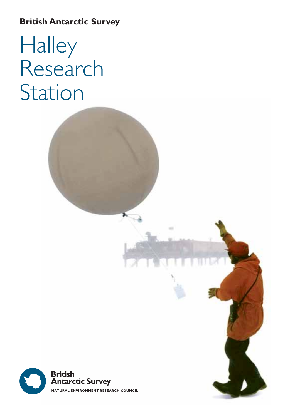### **British Antarctic Survey**

# Halley Research Station

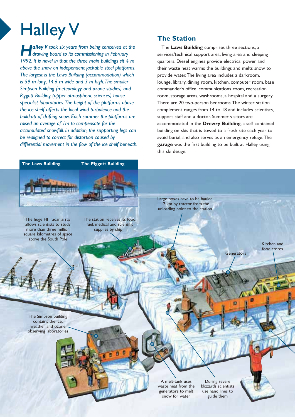## Halley V

*Halley V took six years from being conceived at the drawing board to its commissioning in February 1992. It is novel in that the three main buildings sit 4 m above the snow on independent jackable steel platforms. The largest is the Laws Building (accommodation) which is 59 m long, 14.6 m wide and 3 m high.The smaller Simpson Building (meteorology and ozone studies) and Piggott Building (upper atmospheric sciences) house specialist laboratories.The height of the platforms above the ice shelf affects the local wind turbulence and the build-up of drifting snow. Each summer the platforms are raised an average of 1m to compensate for the accumulated snowfall. In addition, the supporting legs can be realigned to correct for distortion caused by differential movement in the flow of the ice shelf beneath.*



The huge HF radar array allows scientists to study more than three million square kilometres of space above the South Pole

The station receives its food, fuel, medical and scientific supplies by ship

#### **The Station**

The **Laws Building** comprises three sections, a services/technical support area, living area and sleeping quarters. Diesel engines provide electrical power and their waste heat warms the buildings and melts snow to provide water.The living area includes a darkroom, lounge, library, dining room, kitchen, computer room, base commander's office, communications room, recreation room, storage areas, washrooms, a hospital and a surgery. There are 20 two-person bedrooms.The winter station complement ranges from 14 to 18 and includes scientists, support staff and a doctor. Summer visitors are accommodated in the **Drewry Building**, a self-contained building on skis that is towed to a fresh site each year to avoid burial, and also serves as an emergency refuge.The **garage** was the first building to be built at Halley using this ski design.

Large boxes have to be hauled 12 km by tractor from the unloading point to the station

> Kitchen and food stores

**Generators** 

The Simpson building contains the ice, weather and ozone observing laboratories

> A melt-tank uses waste heat from the generators to melt snow for water

During severe blizzards scientists use hand lines to guide them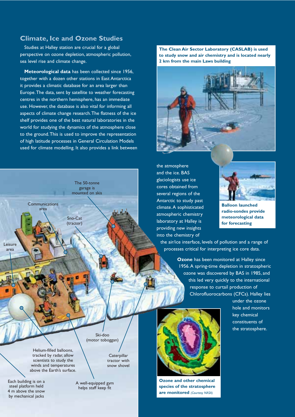#### **Climate, Ice and Ozone Studies**

Studies at Halley station are crucial for a global perspective on ozone depletion, atmospheric pollution, sea level rise and climate change.

**Meteorological data** has been collected since 1956, together with a dozen other stations in East Antarctica it provides a climatic database for an area larger than Europe.The data, sent by satellite to weather forecasting centres in the northern hemisphere, has an immediate use. However, the database is also vital for informing all aspects of climate change research.The flatness of the ice shelf provides one of the best natural laboratories in the world for studying the dynamics of the atmosphere close to the ground.This is used to improve the representation of high latitude processes in General Circulation Models used for climate modelling. It also provides a link between



Helium-filled balloons, tracked by radar, allow scientists to study the winds and temperatures above the Earth's surface.

Each building is on a steel platform held 4 m above the snow by mechanical jacks

tractor with snow shovel

**Caterpillar** 

A well-equipped gym helps staff keep fit

**The Clean Air Sector Laboratory (CASLAB) is used to study snow and air chemistry and is located nearly 2 km from the main Laws building**



the atmosphere and the ice. BAS glaciologists use ice cores obtained from several regions of the Antarctic to study past climate.A sophisticated atmospheric chemistry laboratory at Halley is providing new insights into the chemistry of



**Balloon launched radio-sondes provide meteorological data for forecasting**

the air/ice interface, levels of pollution and a range of processes critical for interpreting ice core data.

> **Ozone** has been monitored at Halley since 1956.A spring-time depletion in stratospheric ozone was discovered by BAS in 1985, and this led very quickly to the international response to curtail production of Chlorofluorocarbons (CFCs). Halley lies

> > under the ozone hole and monitors key chemical constituents of the stratosphere.



**Ozone and other chemical species of the stratosphere are monitored** *(Courtesy NASA)*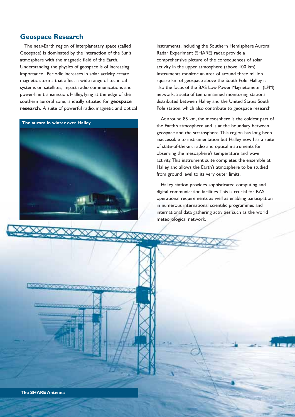#### **Geospace Research**

The near-Earth region of interplanetary space (called Geospace) is dominated by the interaction of the Sun's atmosphere with the magnetic field of the Earth. Understanding the physics of geospace is of increasing importance. Periodic increases in solar activity create magnetic storms that affect a wide range of technical systems on satellites, impact radio communications and power-line transmission. Halley, lying at the edge of the southern auroral zone, is ideally situated for **geospace research**. A suite of powerful radio, magnetic and optical



instruments, including the Southern Hemisphere Auroral Radar Experiment (SHARE) radar, provide a comprehensive picture of the consequences of solar activity in the upper atmosphere (above 100 km). Instruments monitor an area of around three million square km of geospace above the South Pole. Halley is also the focus of the BAS Low Power Magnetometer (LPM) network, a suite of ten unmanned monitoring stations distributed between Halley and the United States South Pole station, which also contribute to geospace research.

At around 85 km, the mesosphere is the coldest part of the Earth's atmosphere and is at the boundary between geospace and the stratosphere.This region has long been inaccessible to instrumentation but Halley now has a suite of state-of-the-art radio and optical instruments for observing the mesosphere's temperature and wave activity.This instrument suite completes the ensemble at Halley and allows the Earth's atmosphere to be studied from ground level to its very outer limits.

Halley station provides sophisticated computing and digital communication facilities.This is crucial for BAS operational requirements as well as enabling participation in numerous international scientific programmes and international data gathering activities such as the world meteorological network.

**Disconduction and**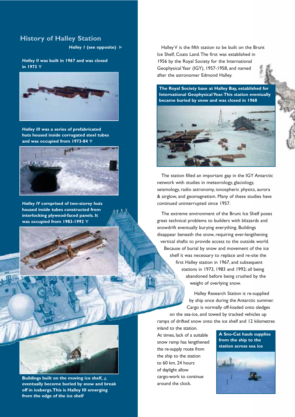#### **History of Halley Station**

**Halley I (see opposite) ▶** 

*Halley II* **was built in 1967 and was closed in 1973** ▼



*Halley III* **was a series of prefabricated huts housed inside corrugated steel tubes and was occupied from 1973-84** ▼



*Halley IV* **comprised of two-storey huts housed inside tubes constructed from interlocking plywood-faced panels. It was occupied from 1983-1992** ▼



Halley V is the fifth station to be built on the Brunt Ice Shelf, Coats Land.The first was established in 1956 by the Royal Society for the International Geophysical Year (IGY), 1957-1958, and named after the astronomer Edmond Halley.

**The Royal Society base at Halley Bay, established for International Geophysical Year.This station eventually became buried by snow and was closed in 1968**



The station filled an important gap in the IGY Antarctic network with studies in meteorology, glaciology, seismology, radio astronomy, ionospheric physics, aurora & airglow, and geomagnetism. Many of these studies have continued uninterrupted since 1957.

The extreme environment of the Brunt Ice Shelf poses great technical problems to builders with blizzards and snowdrift eventually burying everything. Buildings disappear beneath the snow, requiring ever-lengthening vertical shafts to provide access to the outside world. Because of burial by snow and movement of the ice shelf it was necessary to replace and re-site the first Halley station in 1967, and subsequent stations in 1973, 1983 and 1992; all being abandoned before being crushed by the weight of overlying snow.

> Halley Research Station is re-supplied by ship once during the Antarctic summer. Cargo is normally off-loaded onto sledges

on the sea-ice, and towed by tracked vehicles up ramps of drifted snow onto the ice shelf and 12 kilometres

inland to the station. At times, lack of a suitable snow ramp has lengthened the re-supply route from the ship to the station to 60 km. 24 hours of daylight allow cargo-work to continue around the clock.

**A Sno-Cat hauls supplies from the ship to the station across sea ice**



**Buildings built on the moving ice shelf,** ▲ **eventually become buried by snow and break off in icebergs.This is Halley III emerging from the edge of the ice shelf**